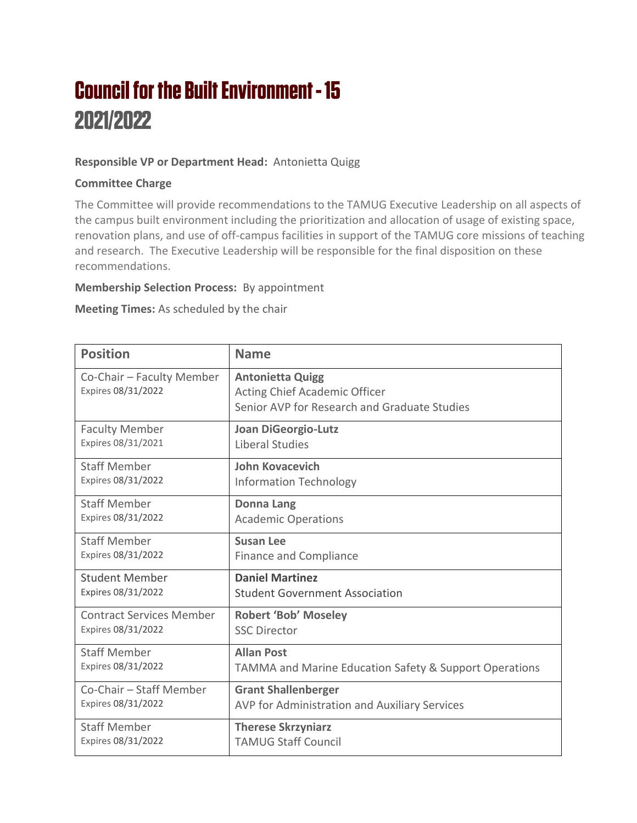# **Council for the Built Environment - 15** 2021/2022

### **Responsible VP or Department Head:** Antonietta Quigg

#### **Committee Charge**

The Committee will provide recommendations to the TAMUG Executive Leadership on all aspects of the campus built environment including the prioritization and allocation of usage of existing space, renovation plans, and use of off-campus facilities in support of the TAMUG core missions of teaching and research. The Executive Leadership will be responsible for the final disposition on these recommendations.

#### **Membership Selection Process:** By appointment

**Meeting Times:** As scheduled by the chair

| <b>Position</b>                                 | <b>Name</b>                                                                                                     |
|-------------------------------------------------|-----------------------------------------------------------------------------------------------------------------|
| Co-Chair - Faculty Member<br>Expires 08/31/2022 | <b>Antonietta Quigg</b><br><b>Acting Chief Academic Officer</b><br>Senior AVP for Research and Graduate Studies |
| <b>Faculty Member</b>                           | <b>Joan DiGeorgio-Lutz</b>                                                                                      |
| Expires 08/31/2021                              | Liberal Studies                                                                                                 |
| <b>Staff Member</b>                             | <b>John Kovacevich</b>                                                                                          |
| Expires 08/31/2022                              | <b>Information Technology</b>                                                                                   |
| <b>Staff Member</b>                             | <b>Donna Lang</b>                                                                                               |
| Expires 08/31/2022                              | <b>Academic Operations</b>                                                                                      |
| <b>Staff Member</b>                             | <b>Susan Lee</b>                                                                                                |
| Expires 08/31/2022                              | <b>Finance and Compliance</b>                                                                                   |
| <b>Student Member</b>                           | <b>Daniel Martinez</b>                                                                                          |
| Expires 08/31/2022                              | <b>Student Government Association</b>                                                                           |
| <b>Contract Services Member</b>                 | <b>Robert 'Bob' Moseley</b>                                                                                     |
| Expires 08/31/2022                              | <b>SSC Director</b>                                                                                             |
| <b>Staff Member</b>                             | <b>Allan Post</b>                                                                                               |
| Expires 08/31/2022                              | <b>TAMMA and Marine Education Safety &amp; Support Operations</b>                                               |
| Co-Chair - Staff Member                         | <b>Grant Shallenberger</b>                                                                                      |
| Expires 08/31/2022                              | AVP for Administration and Auxiliary Services                                                                   |
| <b>Staff Member</b>                             | <b>Therese Skrzyniarz</b>                                                                                       |
| Expires 08/31/2022                              | <b>TAMUG Staff Council</b>                                                                                      |